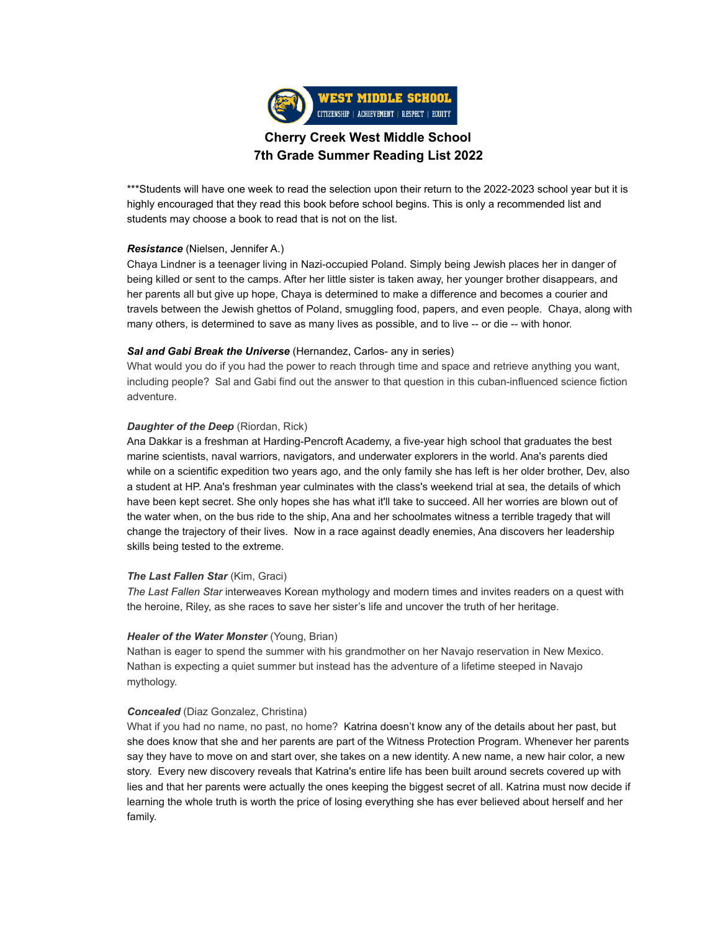

# **Cherry Creek West Middle School 7th Grade Summer Reading List 2022**

\*\*\*Students will have one week to read the selection upon their return to the 2022-2023 school year but it is highly encouraged that they read this book before school begins. This is only a recommended list and students may choose a book to read that is not on the list.

## *Resistance* (Nielsen, Jennifer A.)

Chaya Lindner is a teenager living in Nazi-occupied Poland. Simply being Jewish places her in danger of being killed or sent to the camps. After her little sister is taken away, her younger brother disappears, and her parents all but give up hope, Chaya is determined to make a difference and becomes a courier and travels between the Jewish ghettos of Poland, smuggling food, papers, and even people. Chaya, along with many others, is determined to save as many lives as possible, and to live -- or die -- with honor.

### *Sal and Gabi Break the Universe* (Hernandez, Carlos- any in series)

What would you do if you had the power to reach through time and space and retrieve anything you want, including people? Sal and Gabi find out the answer to that question in this cuban-influenced science fiction adventure.

## *Daughter of the Deep* (Riordan, Rick)

Ana Dakkar is a freshman at Harding-Pencroft Academy, a five-year high school that graduates the best marine scientists, naval warriors, navigators, and underwater explorers in the world. Ana's parents died while on a scientific expedition two years ago, and the only family she has left is her older brother, Dev, also a student at HP. Ana's freshman year culminates with the class's weekend trial at sea, the details of which have been kept secret. She only hopes she has what it'll take to succeed. All her worries are blown out of the water when, on the bus ride to the ship, Ana and her schoolmates witness a terrible tragedy that will change the trajectory of their lives. Now in a race against deadly enemies, Ana discovers her leadership skills being tested to the extreme.

### *The Last Fallen Star* (Kim, Graci)

*The Last Fallen Star* interweaves Korean mythology and modern times and invites readers on a quest with the heroine, Riley, as she races to save her sister's life and uncover the truth of her heritage.

### *Healer of the Water Monster* (Young, Brian)

Nathan is eager to spend the summer with his grandmother on her Navajo reservation in New Mexico. Nathan is expecting a quiet summer but instead has the adventure of a lifetime steeped in Navajo mythology.

### *Concealed* (Diaz Gonzalez, Christina)

What if you had no name, no past, no home? Katrina doesn't know any of the details about her past, but she does know that she and her parents are part of the Witness Protection Program. Whenever her parents say they have to move on and start over, she takes on a new identity. A new name, a new hair color, a new story. Every new discovery reveals that Katrina's entire life has been built around secrets covered up with lies and that her parents were actually the ones keeping the biggest secret of all. Katrina must now decide if learning the whole truth is worth the price of losing everything she has ever believed about herself and her family.